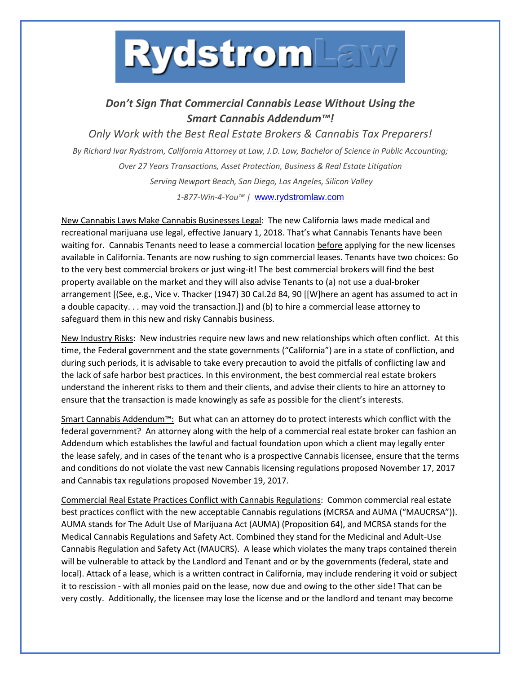

## *Don't Sign That Commercial Cannabis Lease Without Using the Smart Cannabis Addendum™!*

*Only Work with the Best Real Estate Brokers & Cannabis Tax Preparers! By Richard Ivar Rydstrom, California Attorney at Law, J.D. Law, Bachelor of Science in Public Accounting; Over 27 Years Transactions, Asset Protection, Business & Real Estate Litigation Serving Newport Beach, San Diego, Los Angeles, Silicon Valley 1-877-Win-4-You™ |* [www.rydstromlaw.com](http://www.rydstromlaw.com/)

New Cannabis Laws Make Cannabis Businesses Legal: The new California laws made medical and recreational marijuana use legal, effective January 1, 2018. That's what Cannabis Tenants have been waiting for. Cannabis Tenants need to lease a commercial location before applying for the new licenses available in California. Tenants are now rushing to sign commercial leases. Tenants have two choices: Go to the very best commercial brokers or just wing-it! The best commercial brokers will find the best property available on the market and they will also advise Tenants to (a) not use a dual-broker arrangement [(See, e.g., Vice v. Thacker (1947) 30 Cal.2d 84, 90 [[W]here an agent has assumed to act in a double capacity. . . may void the transaction.]) and (b) to hire a commercial lease attorney to safeguard them in this new and risky Cannabis business.

New Industry Risks: New industries require new laws and new relationships which often conflict. At this time, the Federal government and the state governments ("California") are in a state of confliction, and during such periods, it is advisable to take every precaution to avoid the pitfalls of conflicting law and the lack of safe harbor best practices. In this environment, the best commercial real estate brokers understand the inherent risks to them and their clients, and advise their clients to hire an attorney to ensure that the transaction is made knowingly as safe as possible for the client's interests.

Smart Cannabis Addendum™: But what can an attorney do to protect interests which conflict with the federal government? An attorney along with the help of a commercial real estate broker can fashion an Addendum which establishes the lawful and factual foundation upon which a client may legally enter the lease safely, and in cases of the tenant who is a prospective Cannabis licensee, ensure that the terms and conditions do not violate the vast new Cannabis licensing regulations proposed November 17, 2017 and Cannabis tax regulations proposed November 19, 2017.

Commercial Real Estate Practices Conflict with Cannabis Regulations: Common commercial real estate best practices conflict with the new acceptable Cannabis regulations (MCRSA and AUMA ("MAUCRSA")). AUMA stands for The Adult Use of Marijuana Act (AUMA) (Proposition 64), and MCRSA stands for the Medical Cannabis Regulations and Safety Act. Combined they stand for the Medicinal and Adult-Use Cannabis Regulation and Safety Act (MAUCRS). A lease which violates the many traps contained therein will be vulnerable to attack by the Landlord and Tenant and or by the governments (federal, state and local). Attack of a lease, which is a written contract in California, may include rendering it void or subject it to rescission - with all monies paid on the lease, now due and owing to the other side! That can be very costly. Additionally, the licensee may lose the license and or the landlord and tenant may become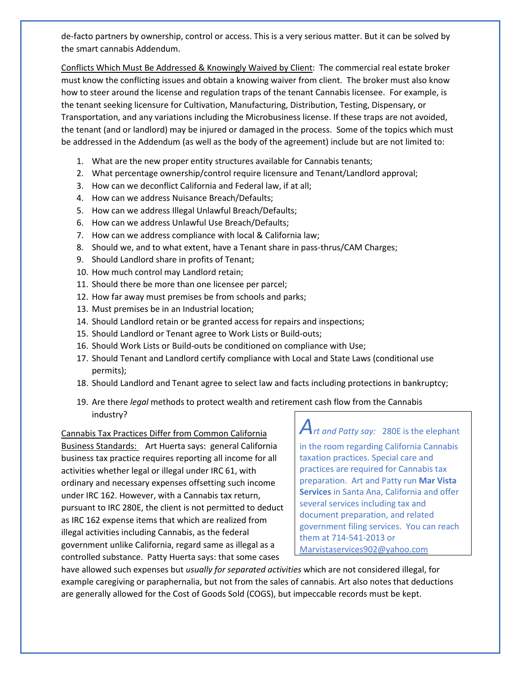de-facto partners by ownership, control or access. This is a very serious matter. But it can be solved by the smart cannabis Addendum.

Conflicts Which Must Be Addressed & Knowingly Waived by Client: The commercial real estate broker must know the conflicting issues and obtain a knowing waiver from client. The broker must also know how to steer around the license and regulation traps of the tenant Cannabis licensee. For example, is the tenant seeking licensure for Cultivation, Manufacturing, Distribution, Testing, Dispensary, or Transportation, and any variations including the Microbusiness license. If these traps are not avoided, the tenant (and or landlord) may be injured or damaged in the process. Some of the topics which must be addressed in the Addendum (as well as the body of the agreement) include but are not limited to:

- 1. What are the new proper entity structures available for Cannabis tenants;
- 2. What percentage ownership/control require licensure and Tenant/Landlord approval;
- 3. How can we deconflict California and Federal law, if at all;
- 4. How can we address Nuisance Breach/Defaults;
- 5. How can we address Illegal Unlawful Breach/Defaults;
- 6. How can we address Unlawful Use Breach/Defaults;
- 7. How can we address compliance with local & California law;
- 8. Should we, and to what extent, have a Tenant share in pass-thrus/CAM Charges;
- 9. Should Landlord share in profits of Tenant;
- 10. How much control may Landlord retain;
- 11. Should there be more than one licensee per parcel;
- 12. How far away must premises be from schools and parks;
- 13. Must premises be in an Industrial location;
- 14. Should Landlord retain or be granted access for repairs and inspections;
- 15. Should Landlord or Tenant agree to Work Lists or Build-outs;
- 16. Should Work Lists or Build-outs be conditioned on compliance with Use;
- 17. Should Tenant and Landlord certify compliance with Local and State Laws (conditional use permits);
- 18. Should Landlord and Tenant agree to select law and facts including protections in bankruptcy;
- 19. Are there *legal* methods to protect wealth and retirement cash flow from the Cannabis industry?

## Cannabis Tax Practices Differ from Common California

Business Standards: Art Huerta says: general California business tax practice requires reporting all income for all activities whether legal or illegal under IRC 61, with ordinary and necessary expenses offsetting such income under IRC 162. However, with a Cannabis tax return, pursuant to IRC 280E, the client is not permitted to deduct as IRC 162 expense items that which are realized from illegal activities including Cannabis, as the federal government unlike California, regard same as illegal as a controlled substance. Patty Huerta says: that some cases

*Art and Patty say:* 280E is the elephant in the room regarding California Cannabis taxation practices. Special care and practices are required for Cannabis tax preparation. Art and Patty run **Mar Vista Services** in Santa Ana, California and offer several services including tax and document preparation, and related government filing services. You can reach them at 714-541-2013 or [Marvistaservices902@yahoo.com](mailto:Marvistaservices902@yahoo.com)

have allowed such expenses but *usually for separated activities* which are not considered illegal, for example caregiving or paraphernalia, but not from the sales of cannabis. Art also notes that deductions are generally allowed for the Cost of Goods Sold (COGS), but impeccable records must be kept.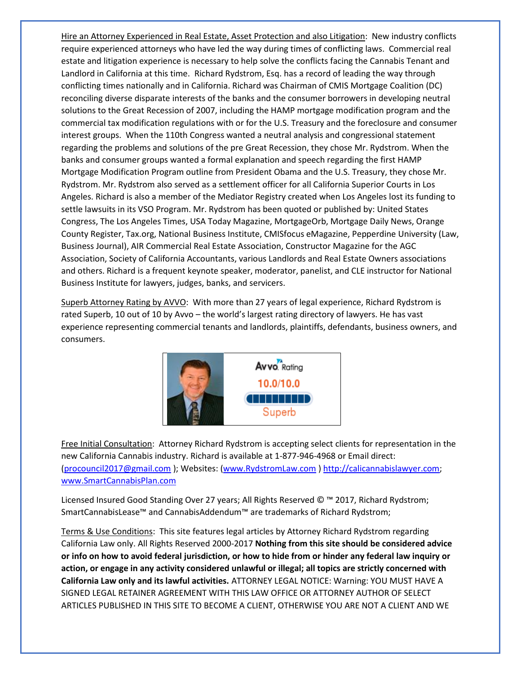Hire an Attorney Experienced in Real Estate, Asset Protection and also Litigation: New industry conflicts require experienced attorneys who have led the way during times of conflicting laws. Commercial real estate and litigation experience is necessary to help solve the conflicts facing the Cannabis Tenant and Landlord in California at this time. Richard Rydstrom, Esq. has a record of leading the way through conflicting times nationally and in California. Richard was Chairman of CMIS Mortgage Coalition (DC) reconciling diverse disparate interests of the banks and the consumer borrowers in developing neutral solutions to the Great Recession of 2007, including the HAMP mortgage modification program and the commercial tax modification regulations with or for the U.S. Treasury and the foreclosure and consumer interest groups. When the 110th Congress wanted a neutral analysis and congressional statement regarding the problems and solutions of the pre Great Recession, they chose Mr. Rydstrom. When the banks and consumer groups wanted a formal explanation and speech regarding the first HAMP Mortgage Modification Program outline from President Obama and the U.S. Treasury, they chose Mr. Rydstrom. Mr. Rydstrom also served as a settlement officer for all California Superior Courts in Los Angeles. Richard is also a member of the Mediator Registry created when Los Angeles lost its funding to settle lawsuits in its VSO Program. Mr. Rydstrom has been quoted or published by: United States Congress, The Los Angeles Times, USA Today Magazine, MortgageOrb, Mortgage Daily News, Orange County Register, Tax.org, National Business Institute, CMISfocus eMagazine, Pepperdine University (Law, Business Journal), AIR Commercial Real Estate Association, Constructor Magazine for the AGC Association, Society of California Accountants, various Landlords and Real Estate Owners associations and others. Richard is a frequent keynote speaker, moderator, panelist, and CLE instructor for National Business Institute for lawyers, judges, banks, and servicers.

Superb Attorney Rating by AVVO: With more than 27 years of legal experience, Richard Rydstrom is rated Superb, 10 out of 10 by Avvo – the world's largest rating directory of lawyers. He has vast experience representing commercial tenants and landlords, plaintiffs, defendants, business owners, and consumers.



Free Initial Consultation: Attorney Richard Rydstrom is accepting select clients for representation in the new California Cannabis industry. Richard is available at 1-877-946-4968 or Email direct: [\(procouncil2017@gmail.com](mailto:procouncil2017@gmail.com) ); Websites: [\(www.RydstromLaw.com](http://www.rydstromlaw.com/) ) [http://calicannabislawyer.com;](http://calicannabislawyer.com/) [www.SmartCannabisPlan.com](http://www.smartcannabisplan.com/) 

Licensed Insured Good Standing Over 27 years; All Rights Reserved © ™ 2017, Richard Rydstrom; SmartCannabisLease™ and CannabisAddendum™ are trademarks of Richard Rydstrom;

Terms & Use Conditions: This site features legal articles by Attorney Richard Rydstrom regarding California Law only. All Rights Reserved 2000-2017 **Nothing from this site should be considered advice or info on how to avoid federal jurisdiction, or how to hide from or hinder any federal law inquiry or action, or engage in any activity considered unlawful or illegal; all topics are strictly concerned with California Law only and its lawful activities.** ATTORNEY LEGAL NOTICE: Warning: YOU MUST HAVE A SIGNED LEGAL RETAINER AGREEMENT WITH THIS LAW OFFICE OR ATTORNEY AUTHOR OF SELECT ARTICLES PUBLISHED IN THIS SITE TO BECOME A CLIENT, OTHERWISE YOU ARE NOT A CLIENT AND WE